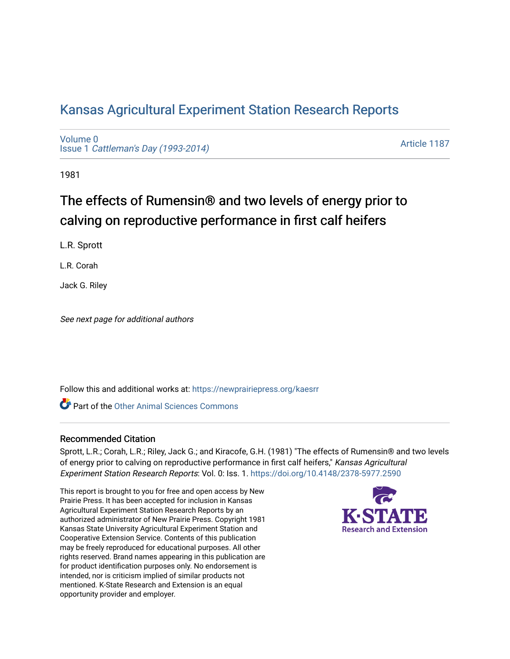## [Kansas Agricultural Experiment Station Research Reports](https://newprairiepress.org/kaesrr)

[Volume 0](https://newprairiepress.org/kaesrr/vol0) Issue 1 [Cattleman's Day \(1993-2014\)](https://newprairiepress.org/kaesrr/vol0/iss1) 

[Article 1187](https://newprairiepress.org/kaesrr/vol0/iss1/1187) 

1981

# The effects of Rumensin® and two levels of energy prior to calving on reproductive performance in first calf heifers

L.R. Sprott

L.R. Corah

Jack G. Riley

See next page for additional authors

Follow this and additional works at: [https://newprairiepress.org/kaesrr](https://newprairiepress.org/kaesrr?utm_source=newprairiepress.org%2Fkaesrr%2Fvol0%2Fiss1%2F1187&utm_medium=PDF&utm_campaign=PDFCoverPages) 

**C** Part of the [Other Animal Sciences Commons](http://network.bepress.com/hgg/discipline/82?utm_source=newprairiepress.org%2Fkaesrr%2Fvol0%2Fiss1%2F1187&utm_medium=PDF&utm_campaign=PDFCoverPages)

#### Recommended Citation

Sprott, L.R.; Corah, L.R.; Riley, Jack G.; and Kiracofe, G.H. (1981) "The effects of Rumensin® and two levels of energy prior to calving on reproductive performance in first calf heifers," Kansas Agricultural Experiment Station Research Reports: Vol. 0: Iss. 1. <https://doi.org/10.4148/2378-5977.2590>

This report is brought to you for free and open access by New Prairie Press. It has been accepted for inclusion in Kansas Agricultural Experiment Station Research Reports by an authorized administrator of New Prairie Press. Copyright 1981 Kansas State University Agricultural Experiment Station and Cooperative Extension Service. Contents of this publication may be freely reproduced for educational purposes. All other rights reserved. Brand names appearing in this publication are for product identification purposes only. No endorsement is intended, nor is criticism implied of similar products not mentioned. K-State Research and Extension is an equal opportunity provider and employer.

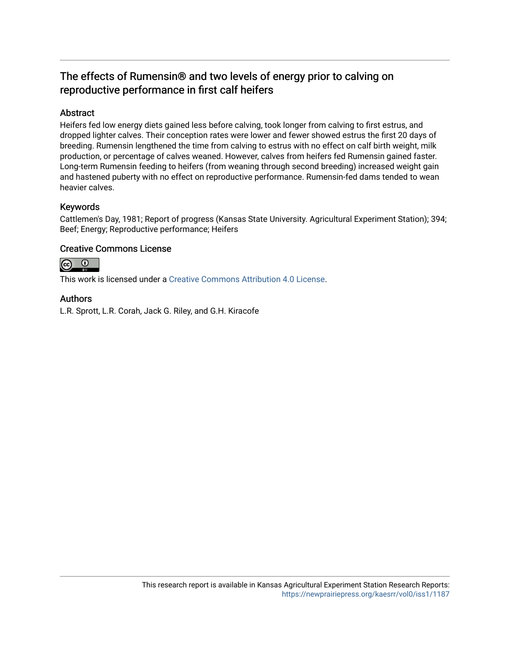### The effects of Rumensin® and two levels of energy prior to calving on reproductive performance in first calf heifers

#### Abstract

Heifers fed low energy diets gained less before calving, took longer from calving to first estrus, and dropped lighter calves. Their conception rates were lower and fewer showed estrus the first 20 days of breeding. Rumensin lengthened the time from calving to estrus with no effect on calf birth weight, milk production, or percentage of calves weaned. However, calves from heifers fed Rumensin gained faster. Long-term Rumensin feeding to heifers (from weaning through second breeding) increased weight gain and hastened puberty with no effect on reproductive performance. Rumensin-fed dams tended to wean heavier calves.

#### Keywords

Cattlemen's Day, 1981; Report of progress (Kansas State University. Agricultural Experiment Station); 394; Beef; Energy; Reproductive performance; Heifers

#### Creative Commons License



This work is licensed under a [Creative Commons Attribution 4.0 License](https://creativecommons.org/licenses/by/4.0/).

#### Authors

L.R. Sprott, L.R. Corah, Jack G. Riley, and G.H. Kiracofe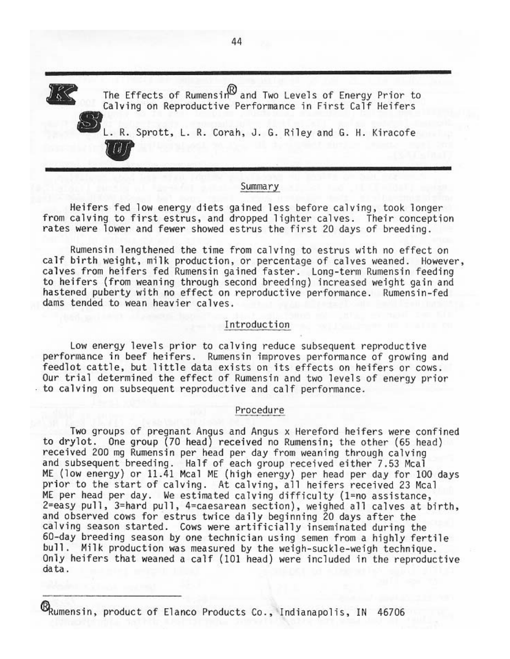The Effects of Rumensin  $\mathbb B$  and Two Levels of Energy Prior to Calving on Reproductive Performance in First Calf Heifers L. R. Sprott, L. R. Corah, J. G. Riley and G. H. Kiracofe

#### Summary

Heifers fed low energy diets gained less before calving, took longer from calving to first estrus, and dropped lighter calves. Their conception rates were lower and fewer showed estrus the first 20 days of breeding.

Rumensin lengthened the time from calving to estrus with no effect on calf birth weight, milk production, or percentage of calves weaned. However, calves from heifers fed Rumensin gained faster. Long-term Rumensin feeding to heifers (from weaning through second breeding) increased weight gain and hastened puberty with no effect on reproductive performance. Rumensin-fed dams tended to wean heavier calves.

#### Introduction

Low energy levels prior to calving reduce subsequent reproductive performance in beef heifers. Rumensin improves performance of growing and feedlot cattle, but little data exists on its effects on heifers or cows. Our trial determined the effect of Rumensin and two levels of energy prior to calving on subsequent reproductive and calf performance.

#### Procedure

Two groups of pregnant Angus and Angus x Hereford heifers were confined to drylot. One group (70 head) received no Rumensin; the other (65 head) received 200 mg Rumensin per head per day from weaning through calving and subsequent breeding. Half of each group received either 7.53 Mcal ME (low energy) or 11.41 Mcal ME (high energy) per head per day for 100 days prior to the start of calving. At calving, all heifers received 23 Mcal ME per head per day. We estimated calving difficulty (1=no assistance, 2=easy pull, 3=hard pull, 4=caesarean section), weighed all calves at birth, and observed cows for estrus twice daily beginning 20 days after the calving season started. Cows were artificially inseminated during the 60-day breeding season by one technician using semen from a highly fertile bull. Milk production was measured by the weigh-suckle-weigh technique. Only heifers that weaned a calf (101 head) were included in the reproductive data.

Exumensin, product of Elanco Products Co., Indianapolis, IN 46706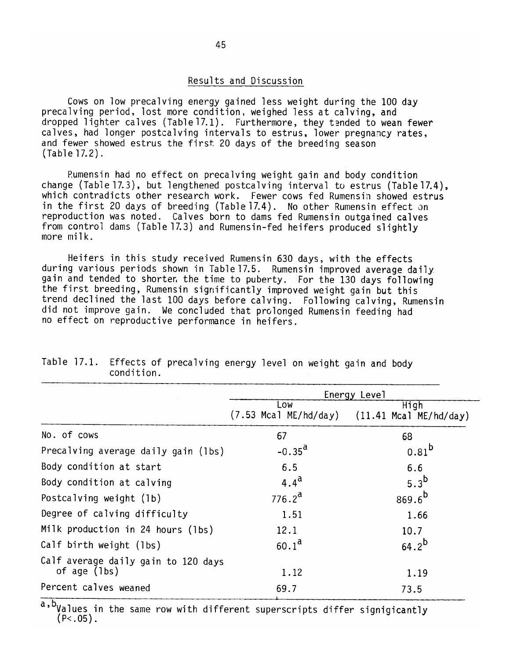#### Results and Discussion

Cows on low precalving energy gained less weight during the 100 day precalving period, lost more condition, weighed less at calving, and dropped lighter calves (Table 17.1). Furthermore, they tended to wean fewer calves, had longer postcalving intervals to estrus, lower pregnancy rates, and fewer showed estrus the first 20 days of the breeding season  $(Table 17.2)$ .

Rumensin had no effect on precalving weight gain and body condition change (Table 17.3), but lengthened postcalving interval to estrus (Table 17.4), which contradicts other research work. Fewer cows fed Rumensin showed estrus in the first 20 days of breeding (Table 17.4). No other Rumensin effect on reproduction was noted. Calves born to dams fed Rumensin outgained calves from control dams (Table 17.3) and Rumensin-fed heifers produced slightly more  $milk.$ 

Heifers in this study received Rumensin 630 days, with the effects during various periods shown in Table 17.5. Rumensin improved average daily gain and tended to shorter, the time to puberty. For the 130 days following the first breeding, Rumensin significantly improved weight gain but this trend declined the last 100 days before calving. Following calving, Rumensin did not improve gain. We concluded that prolonged Rumensin feeding had no effect on reproductive performance in heifers.

|                                                       | Energy Level                 |                                  |  |
|-------------------------------------------------------|------------------------------|----------------------------------|--|
|                                                       | Low<br>(7.53 Mcal ME/hd/day) | High<br>$(11.41$ Mcal ME/hd/day) |  |
| No. of cows                                           | 67                           | 68                               |  |
| Precalving average daily gain (1bs)                   | $-0.35^{\rm d}$              | $0.81^{b}$                       |  |
| Body condition at start                               | 6.5                          | 6.6                              |  |
| Body condition at calving                             | $4.4^{\rm d}$                | $5.3^D$                          |  |
| Postcalving weight (1b)                               | $776.2^d$                    | $869.6^{b}$                      |  |
| Degree of calving difficulty                          | 1.51                         | 1.66                             |  |
| Milk production in 24 hours (1bs)                     | 12.1                         | 10.7                             |  |
| Calf birth weight (lbs)                               | $60.1^{\rm a}$               | $64.2^{b}$                       |  |
| Calf average daily gain to 120 days<br>of age $(lbs)$ | 1.12                         | 1.19                             |  |
| Percent calves weaned                                 | 69.7                         | 73.5                             |  |

Table 17.1. Effects of precalving energy level on weight gain and body condition.

a,b<sub>Values</sub> in the same row with different superscripts differ signigicantly  $(P<.05)$ .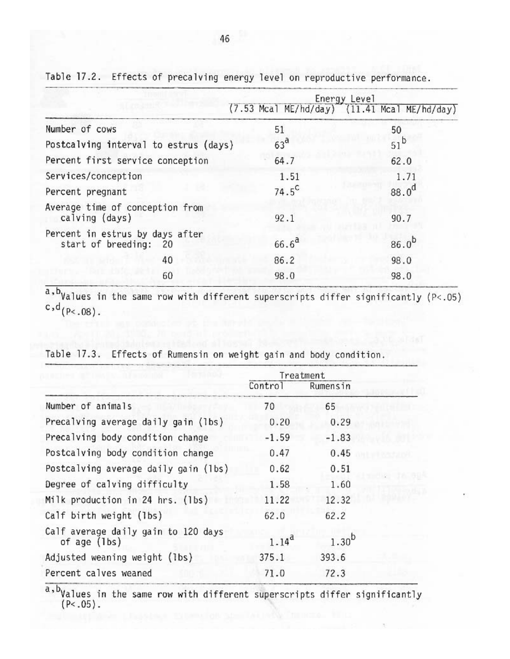| Energy Level                                             |                                                  |  |
|----------------------------------------------------------|--------------------------------------------------|--|
|                                                          | $(7.53$ Mcal ME/hd/day) $(11.41$ Mcal ME/hd/day) |  |
| 51                                                       | 50                                               |  |
| 63 <sup>d</sup><br>Postcalving interval to estrus (days) | $51^{\text{b}}$                                  |  |
| 64.7                                                     | 62.0                                             |  |
| 1.51                                                     | 1.71                                             |  |
| $74.5^{\circ}$                                           | $88.0^{d}$                                       |  |
| 92.1                                                     | 90.7                                             |  |
| $66.6^{a}$                                               | $86.0^{b}$                                       |  |
| 86.2                                                     | 98.0                                             |  |
| 98.0                                                     | 98.0                                             |  |
|                                                          |                                                  |  |

Table 17.2. Effects of precalving energy level on reproductive performance.

 $a$ , b<sub>Values</sub> in the same row with different superscripts differ significantly (P<.05)  $c, d_{(P<.08)}$ .

|                                                     |            | Treatment  |  |
|-----------------------------------------------------|------------|------------|--|
|                                                     | Control    | Rumensin   |  |
| Number of animals                                   | 70         | 65         |  |
| Precalving average daily gain (lbs)                 | 0.20       | 0.29       |  |
| Precalving body condition change                    | $-1.59$    | $-1.83$    |  |
| Postcalving body condition change                   | 0.47       | 0.45       |  |
| Postcalving average daily gain (1bs)                | 0.62       | 0.51       |  |
| Degree of calving difficulty                        | 1.58       | 1.60       |  |
| Milk production in 24 hrs. (1bs)                    | 11.22      | 12.32      |  |
| Calf birth weight (1bs)                             | 62.0       | 62.2       |  |
| Calf average daily gain to 120 days<br>of age (lbs) | $1.14^{d}$ | $1.30^{b}$ |  |
| Adjusted weaning weight (lbs)                       | 375.1      | 393.6      |  |
| Percent calves weaned                               | 71.0       | 72.3       |  |
|                                                     |            |            |  |

Table 17.3. Effects of Rumensin on weight gain and body condition.

a, byalues in the same row with different superscripts differ significantly  $(P<.05)$ .